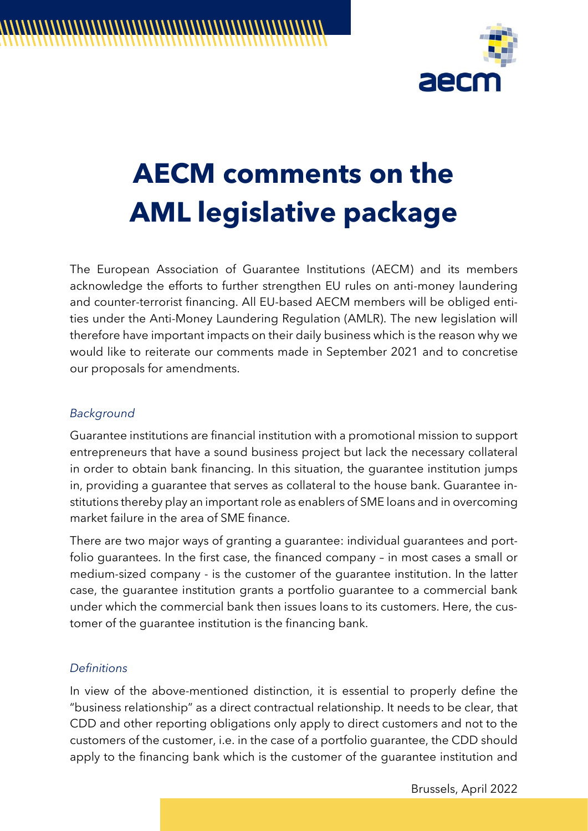

# **AECM comments on the AML legislative package**

The European Association of Guarantee Institutions (AECM) and its members acknowledge the efforts to further strengthen EU rules on anti-money laundering and counter-terrorist financing. All EU-based AECM members will be obliged entities under the Anti-Money Laundering Regulation (AMLR). The new legislation will therefore have important impacts on their daily business which is the reason why we would like to reiterate our comments made in September 2021 and to concretise our proposals for amendments.

#### *Background*

Guarantee institutions are financial institution with a promotional mission to support entrepreneurs that have a sound business project but lack the necessary collateral in order to obtain bank financing. In this situation, the guarantee institution jumps in, providing a guarantee that serves as collateral to the house bank. Guarantee institutions thereby play an important role as enablers of SME loans and in overcoming market failure in the area of SME finance.

There are two major ways of granting a guarantee: individual guarantees and portfolio guarantees. In the first case, the financed company – in most cases a small or medium-sized company - is the customer of the guarantee institution. In the latter case, the guarantee institution grants a portfolio guarantee to a commercial bank under which the commercial bank then issues loans to its customers. Here, the customer of the guarantee institution is the financing bank.

#### *Definitions*

In view of the above-mentioned distinction, it is essential to properly define the "business relationship" as a direct contractual relationship. It needs to be clear, that CDD and other reporting obligations only apply to direct customers and not to the customers of the customer, i.e. in the case of a portfolio guarantee, the CDD should apply to the financing bank which is the customer of the guarantee institution and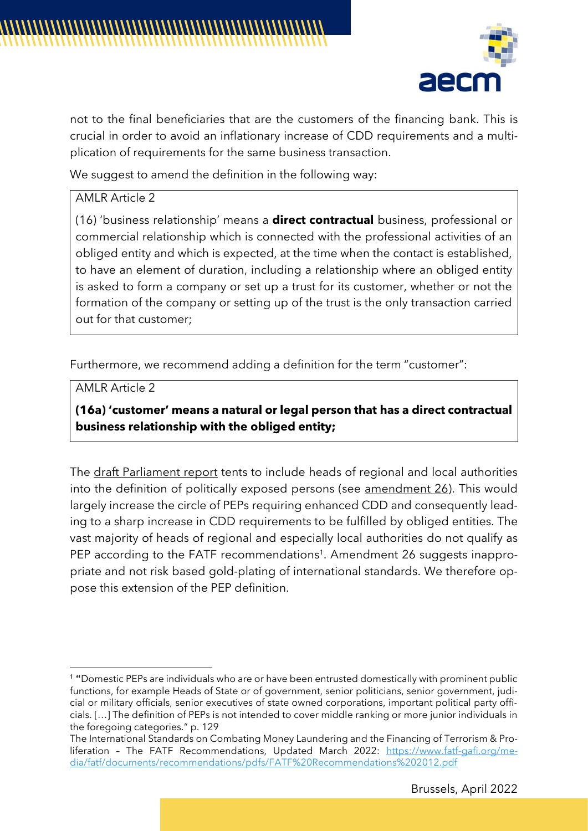

not to the final beneficiaries that are the customers of the financing bank. This is crucial in order to avoid an inflationary increase of CDD requirements and a multiplication of requirements for the same business transaction.

We suggest to amend the definition in the following way:

## AMLR Article 2

(16) 'business relationship' means a **direct contractual** business, professional or commercial relationship which is connected with the professional activities of an obliged entity and which is expected, at the time when the contact is established, to have an element of duration, including a relationship where an obliged entity is asked to form a company or set up a trust for its customer, whether or not the formation of the company or setting up of the trust is the only transaction carried out for that customer;

Furthermore, we recommend adding a definition for the term "customer":

AMLR Article 2

**(16a) 'customer' means a natural or legal person that has a direct contractual business relationship with the obliged entity;**

The draft Parliament report tents to include heads of regional and local authorities into the definition of politically exposed persons (see amendment 26). This would largely increase the circle of PEPs requiring enhanced CDD and consequently leading to a sharp increase in CDD requirements to be fulfilled by obliged entities. The vast majority of heads of regional and especially local authorities do not qualify as PEP according to the FATF recommendations<sup>1</sup>. Amendment 26 suggests inappropriate and not risk based gold-plating of international standards. We therefore oppose this extension of the PEP definition.

<sup>1</sup> "Domestic PEPs are individuals who are or have been entrusted domestically with prominent public functions, for example Heads of State or of government, senior politicians, senior government, judicial or military officials, senior executives of state owned corporations, important political party officials. […] The definition of PEPs is not intended to cover middle ranking or more junior individuals in the foregoing categories." p. 129

The International Standards on Combating Money Laundering and the Financing of Terrorism & Proliferation – The FATF Recommendations, Updated March 2022: [https://www.fatf-gafi.org/me](https://www.fatf-gafi.org/media/fatf/documents/recommendations/pdfs/FATF%20Recommendations%202012.pdf)[dia/fatf/documents/recommendations/pdfs/FATF%20Recommendations%202012.pdf](https://www.fatf-gafi.org/media/fatf/documents/recommendations/pdfs/FATF%20Recommendations%202012.pdf)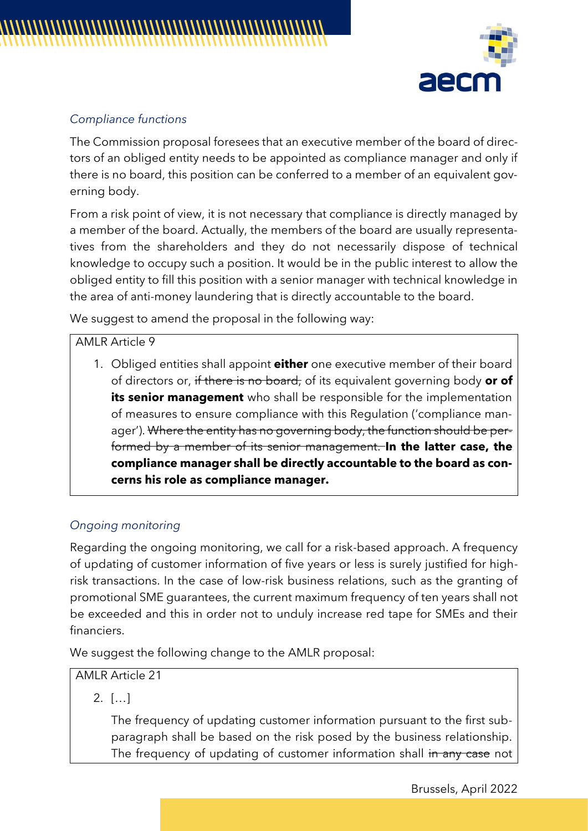

#### *Compliance functions*

The Commission proposal foresees that an executive member of the board of directors of an obliged entity needs to be appointed as compliance manager and only if there is no board, this position can be conferred to a member of an equivalent governing body.

From a risk point of view, it is not necessary that compliance is directly managed by a member of the board. Actually, the members of the board are usually representatives from the shareholders and they do not necessarily dispose of technical knowledge to occupy such a position. It would be in the public interest to allow the obliged entity to fill this position with a senior manager with technical knowledge in the area of anti-money laundering that is directly accountable to the board.

We suggest to amend the proposal in the following way:

#### AMLR Article 9

1. Obliged entities shall appoint **either** one executive member of their board of directors or, if there is no board, of its equivalent governing body **or of its senior management** who shall be responsible for the implementation of measures to ensure compliance with this Regulation ('compliance manager'). Where the entity has no governing body, the function should be performed by a member of its senior management. **In the latter case, the compliance manager shall be directly accountable to the board as concerns his role as compliance manager.**

#### *Ongoing monitoring*

Regarding the ongoing monitoring, we call for a risk-based approach. A frequency of updating of customer information of five years or less is surely justified for highrisk transactions. In the case of low-risk business relations, such as the granting of promotional SME guarantees, the current maximum frequency of ten years shall not be exceeded and this in order not to unduly increase red tape for SMEs and their financiers.

We suggest the following change to the AMLR proposal:

## AMLR Article 21

2. […]

The frequency of updating customer information pursuant to the first subparagraph shall be based on the risk posed by the business relationship. The frequency of updating of customer information shall in any case not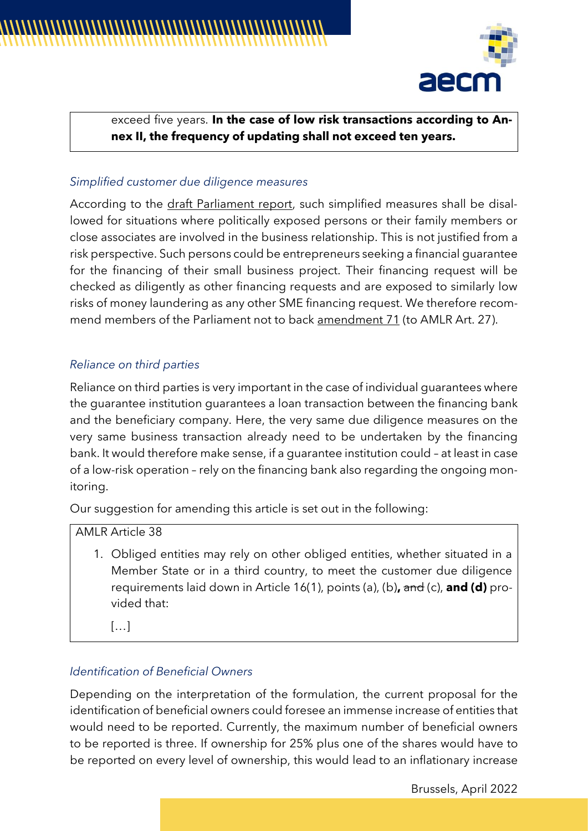

# exceed five years. **In the case of low risk transactions according to Annex II, the frequency of updating shall not exceed ten years.**

## *Simplified customer due diligence measures*

According to the draft Parliament report, such simplified measures shall be disallowed for situations where politically exposed persons or their family members or close associates are involved in the business relationship. This is not justified from a risk perspective. Such persons could be entrepreneurs seeking a financial guarantee for the financing of their small business project. Their financing request will be checked as diligently as other financing requests and are exposed to similarly low risks of money laundering as any other SME financing request. We therefore recommend members of the Parliament not to back amendment 71 (to AMLR Art. 27).

# *Reliance on third parties*

Reliance on third parties is very important in the case of individual guarantees where the guarantee institution guarantees a loan transaction between the financing bank and the beneficiary company. Here, the very same due diligence measures on the very same business transaction already need to be undertaken by the financing bank. It would therefore make sense, if a guarantee institution could – at least in case of a low-risk operation – rely on the financing bank also regarding the ongoing monitoring.

Our suggestion for amending this article is set out in the following:

AMLR Article 38

1. Obliged entities may rely on other obliged entities, whether situated in a Member State or in a third country, to meet the customer due diligence requirements laid down in Article 16(1), points (a), (b)**,** and (c), **and (d)** provided that:

 $[\ldots]$ 

# *Identification of Beneficial Owners*

Depending on the interpretation of the formulation, the current proposal for the identification of beneficial owners could foresee an immense increase of entities that would need to be reported. Currently, the maximum number of beneficial owners to be reported is three. If ownership for 25% plus one of the shares would have to be reported on every level of ownership, this would lead to an inflationary increase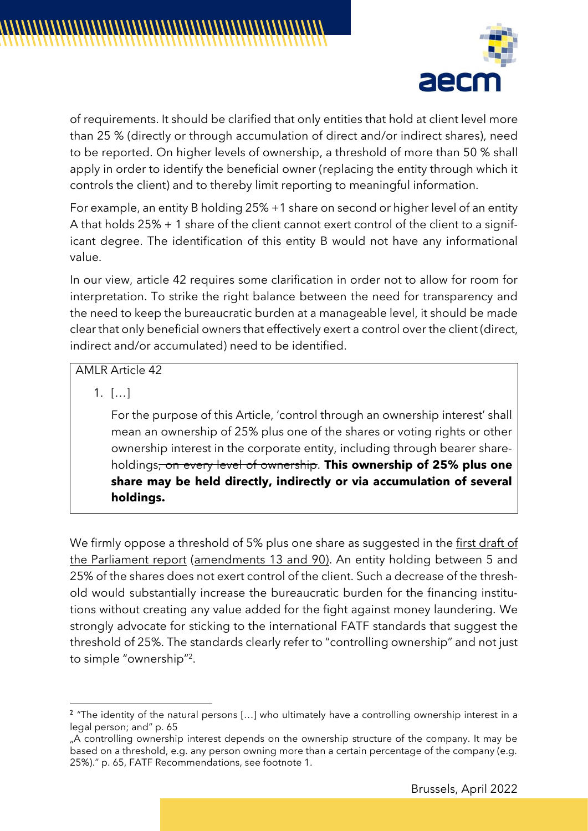

of requirements. It should be clarified that only entities that hold at client level more than 25 % (directly or through accumulation of direct and/or indirect shares), need to be reported. On higher levels of ownership, a threshold of more than 50 % shall apply in order to identify the beneficial owner (replacing the entity through which it controls the client) and to thereby limit reporting to meaningful information.

For example, an entity B holding 25% +1 share on second or higher level of an entity A that holds 25% + 1 share of the client cannot exert control of the client to a significant degree. The identification of this entity B would not have any informational value.

In our view, article 42 requires some clarification in order not to allow for room for interpretation. To strike the right balance between the need for transparency and the need to keep the bureaucratic burden at a manageable level, it should be made clear that only beneficial owners that effectively exert a control over the client (direct, indirect and/or accumulated) need to be identified.

# AMLR Article 42

1. […]

For the purpose of this Article, 'control through an ownership interest' shall mean an ownership of 25% plus one of the shares or voting rights or other ownership interest in the corporate entity, including through bearer shareholdings, on every level of ownership. **This ownership of 25% plus one share may be held directly, indirectly or via accumulation of several holdings.**

We firmly oppose a threshold of 5% plus one share as suggested in the first draft of the Parliament report (amendments 13 and 90). An entity holding between 5 and 25% of the shares does not exert control of the client. Such a decrease of the threshold would substantially increase the bureaucratic burden for the financing institutions without creating any value added for the fight against money laundering. We strongly advocate for sticking to the international FATF standards that suggest the threshold of 25%. The standards clearly refer to "controlling ownership" and not just to simple "ownership" 2 .

<sup>&</sup>lt;sup>2</sup> "The identity of the natural persons [...] who ultimately have a controlling ownership interest in a legal person; and" p. 65

<sup>.</sup> A controlling ownership interest depends on the ownership structure of the company. It may be based on a threshold, e.g. any person owning more than a certain percentage of the company (e.g. 25%)." p. 65, FATF Recommendations, see footnote 1.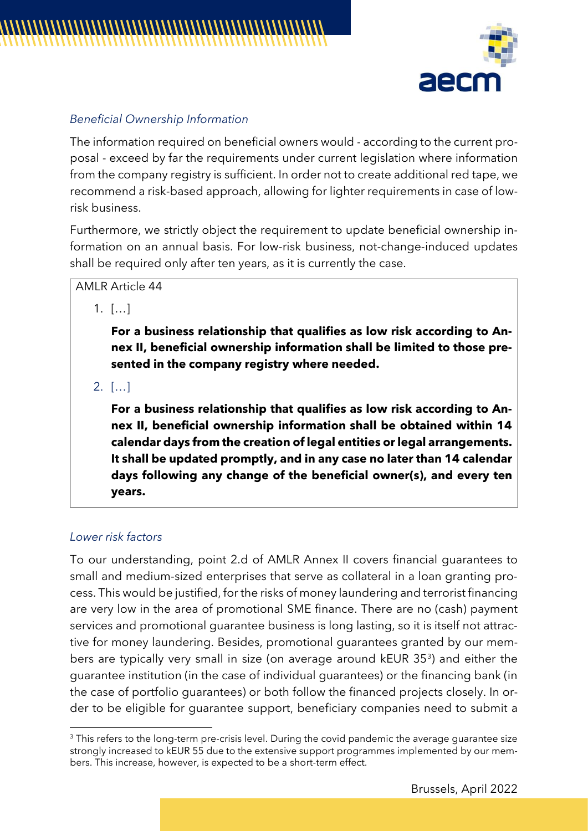

#### *Beneficial Ownership Information*

The information required on beneficial owners would - according to the current proposal - exceed by far the requirements under current legislation where information from the company registry is sufficient. In order not to create additional red tape, we recommend a risk-based approach, allowing for lighter requirements in case of lowrisk business.

Furthermore, we strictly object the requirement to update beneficial ownership information on an annual basis. For low-risk business, not-change-induced updates shall be required only after ten years, as it is currently the case.

AMLR Article 44

1. […]

**For a business relationship that qualifies as low risk according to Annex II, beneficial ownership information shall be limited to those presented in the company registry where needed.**

2. […]

**For a business relationship that qualifies as low risk according to Annex II, beneficial ownership information shall be obtained within 14 calendar days from the creation of legal entities or legal arrangements. It shall be updated promptly, and in any case no later than 14 calendar days following any change of the beneficial owner(s), and every ten years.** 

#### *Lower risk factors*

To our understanding, point 2.d of AMLR Annex II covers financial guarantees to small and medium-sized enterprises that serve as collateral in a loan granting process. This would be justified, for the risks of money laundering and terrorist financing are very low in the area of promotional SME finance. There are no (cash) payment services and promotional guarantee business is long lasting, so it is itself not attractive for money laundering. Besides, promotional guarantees granted by our members are typically very small in size (on average around kEUR 35<sup>3</sup> ) and either the guarantee institution (in the case of individual guarantees) or the financing bank (in the case of portfolio guarantees) or both follow the financed projects closely. In order to be eligible for guarantee support, beneficiary companies need to submit a

<sup>&</sup>lt;sup>3</sup> This refers to the long-term pre-crisis level. During the covid pandemic the average quarantee size strongly increased to kEUR 55 due to the extensive support programmes implemented by our members. This increase, however, is expected to be a short-term effect.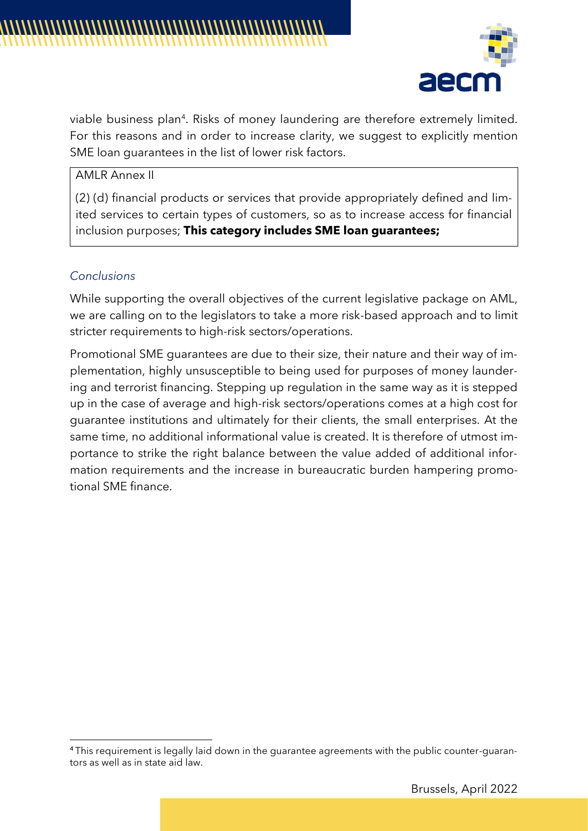

viable business plan<sup>4</sup>. Risks of money laundering are therefore extremely limited. For this reasons and in order to increase clarity, we suggest to explicitly mention SME loan guarantees in the list of lower risk factors.

AMLR Annex II

(2) (d) financial products or services that provide appropriately defined and limited services to certain types of customers, so as to increase access for financial inclusion purposes; **This category includes SME loan guarantees;**

#### *Conclusions*

While supporting the overall objectives of the current legislative package on AML, we are calling on to the legislators to take a more risk-based approach and to limit stricter requirements to high-risk sectors/operations.

Promotional SME guarantees are due to their size, their nature and their way of implementation, highly unsusceptible to being used for purposes of money laundering and terrorist financing. Stepping up regulation in the same way as it is stepped up in the case of average and high-risk sectors/operations comes at a high cost for guarantee institutions and ultimately for their clients, the small enterprises. At the same time, no additional informational value is created. It is therefore of utmost importance to strike the right balance between the value added of additional information requirements and the increase in bureaucratic burden hampering promotional SME finance.

<sup>4</sup> This requirement is legally laid down in the guarantee agreements with the public counter-guarantors as well as in state aid law.